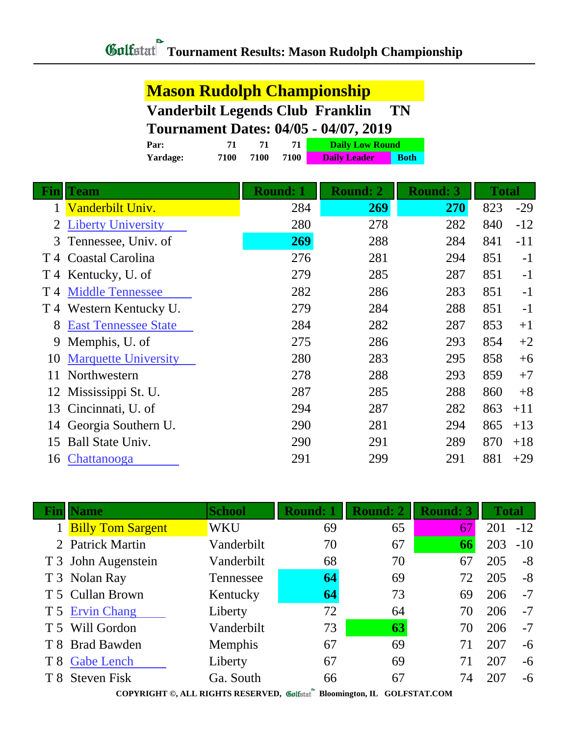## **Mason Rudolph Championship Vanderbilt Legends Club Franklin TN Tournament Dates: 04/05 - 04/07, 2019**

|              | Par:                        | 71   | 71   | 71              | <b>Daily Low Round</b> |             |                 |              |       |
|--------------|-----------------------------|------|------|-----------------|------------------------|-------------|-----------------|--------------|-------|
|              | Yardage:                    | 7100 | 7100 | 7100            | <b>Daily Leader</b>    | <b>Both</b> |                 |              |       |
| Fin          | <b>Team</b>                 |      |      | <b>Round: 1</b> | <b>Round: 2</b>        |             | <b>Round: 3</b> | <b>Total</b> |       |
| $\mathbf{1}$ | Vanderbilt Univ.            |      |      | 284             | <b>269</b>             |             | 270             | 823          | $-29$ |
| 2            | <b>Liberty University</b>   |      |      | 280             | 278                    |             | 282             | 840          | $-12$ |
| 3            | Tennessee, Univ. of         |      |      | 269             | 288                    |             | 284             | 841          | $-11$ |
| T 4          | Coastal Carolina            |      |      | 276             | 281                    |             | 294             | 851          | $-1$  |
| T4           | Kentucky, U. of             |      |      | 279             | 285                    |             | 287             | 851          | $-1$  |
| T 4          | <b>Middle Tennessee</b>     |      |      | 282             | 286                    |             | 283             | 851          | $-1$  |
| T 4          | Western Kentucky U.         |      |      | 279             | 284                    |             | 288             | 851          | $-1$  |
| 8            | <b>East Tennessee State</b> |      |      | 284             | 282                    |             | 287             | 853          | $+1$  |
| 9            | Memphis, U. of              |      |      | 275             | 286                    |             | 293             | 854          | $+2$  |
| 10           | <b>Marquette University</b> |      |      | 280             | 283                    |             | 295             | 858          | $+6$  |
| 11           | Northwestern                |      |      | 278             | 288                    |             | 293             | 859          | $+7$  |
| 12           | Mississippi St. U.          |      |      | 287             | 285                    |             | 288             | 860          | $+8$  |
| 13           | Cincinnati, U. of           |      |      | 294             | 287                    |             | 282             | 863          | $+11$ |
| 14           | Georgia Southern U.         |      |      | 290             | 281                    |             | 294             | 865          | $+13$ |
| 15           | <b>Ball State Univ.</b>     |      |      | 290             | 291                    |             | 289             | 870          | $+18$ |
| 16           | Chattanooga                 |      |      | 291             | 299                    |             | 291             | 881          | $+29$ |
|              |                             |      |      |                 |                        |             |                 |              |       |

| Finll | <b>Name</b>              | <b>School</b> | <b>Round: 1</b> | <b>Round: 2</b> | <b>Round: 3</b> | <b>Total</b> |       |  |
|-------|--------------------------|---------------|-----------------|-----------------|-----------------|--------------|-------|--|
|       | <b>Billy Tom Sargent</b> | WKU           | 69              | 65              | 67              | 201          | $-12$ |  |
|       | 2 Patrick Martin         | Vanderbilt    | 70              | 67              | 66              | 203          | $-10$ |  |
|       | T 3 John Augenstein      | Vanderbilt    | 68              | 70              | 67              | 205          | $-8$  |  |
|       | T 3 Nolan Ray            | Tennessee     | 64              | 69              | 72              | 205          | $-8$  |  |
|       | T 5 Cullan Brown         | Kentucky      | 64              | 73              | 69              | 206          | $-7$  |  |
|       | T 5 Ervin Chang          | Liberty       | 72              | 64              | 70              | 206          | $-7$  |  |
|       | T 5 Will Gordon          | Vanderbilt    | 73              | 63              | 70              | 206          | $-7$  |  |
|       | T 8 Brad Bawden          | Memphis       | 67              | 69              | 71              | 207          | $-6$  |  |
|       | T 8 Gabe Lench           | Liberty       | 67              | 69              | 71              | 207          | $-6$  |  |
|       | T 8 Steven Fisk          | Ga. South     | 66              | 67              | 74              | 207          | $-6$  |  |
|       |                          |               |                 |                 |                 |              |       |  |

**COPYRIGHT ©, ALL RIGHTS RESERVED, Bloomington, IL GOLFSTAT.COM**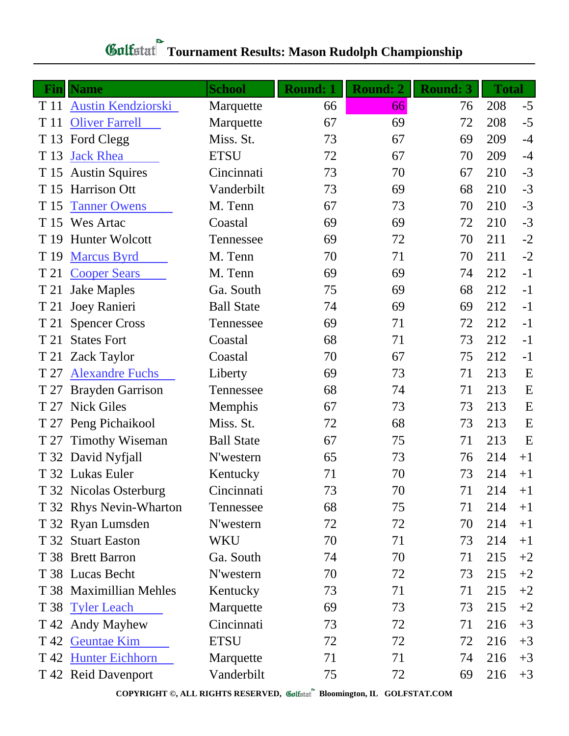| <b>Fin</b> | <b>Name</b>               | <b>School</b>     | <b>Round: 1</b> | <b>Round: 2</b> | <b>Round: 3</b> | <b>Total</b> |      |
|------------|---------------------------|-------------------|-----------------|-----------------|-----------------|--------------|------|
| T 11       | <b>Austin Kendziorski</b> | Marquette         | 66              | 66              | 76              | 208          | $-5$ |
| T 11       | <b>Oliver Farrell</b>     | Marquette         | 67              | 69              | 72              | 208          | $-5$ |
| T 13       | Ford Clegg                | Miss. St.         | 73              | 67              | 69              | 209          | $-4$ |
| T 13       | <b>Jack Rhea</b>          | <b>ETSU</b>       | 72              | 67              | 70              | 209          | $-4$ |
| T 15       | <b>Austin Squires</b>     | Cincinnati        | 73              | 70              | 67              | 210          | $-3$ |
|            | T 15 Harrison Ott         | Vanderbilt        | 73              | 69              | 68              | 210          | $-3$ |
| T 15       | <b>Tanner Owens</b>       | M. Tenn           | 67              | 73              | 70              | 210          | $-3$ |
|            | T 15 Wes Artac            | Coastal           | 69              | 69              | 72              | 210          | $-3$ |
| T 19       | <b>Hunter Wolcott</b>     | Tennessee         | 69              | 72              | 70              | 211          | $-2$ |
| T 19       | <b>Marcus Byrd</b>        | M. Tenn           | 70              | 71              | 70              | 211          | $-2$ |
| T 21       | <b>Cooper Sears</b>       | M. Tenn           | 69              | 69              | 74              | 212          | $-1$ |
| T 21       | <b>Jake Maples</b>        | Ga. South         | 75              | 69              | 68              | 212          | $-1$ |
| T 21       | Joey Ranieri              | <b>Ball State</b> | 74              | 69              | 69              | 212          | $-1$ |
| T 21       | <b>Spencer Cross</b>      | Tennessee         | 69              | 71              | 72              | 212          | $-1$ |
| T 21       | <b>States Fort</b>        | Coastal           | 68              | 71              | 73              | 212          | $-1$ |
| T 21       | <b>Zack Taylor</b>        | Coastal           | 70              | 67              | 75              | 212          | $-1$ |
| T 27       | <b>Alexandre Fuchs</b>    | Liberty           | 69              | 73              | 71              | 213          | E    |
|            | T 27 Brayden Garrison     | Tennessee         | 68              | 74              | 71              | 213          | E    |
|            | T 27 Nick Giles           | Memphis           | 67              | 73              | 73              | 213          | E    |
|            | T 27 Peng Pichaikool      | Miss. St.         | 72              | 68              | 73              | 213          | E    |
| T 27       | <b>Timothy Wiseman</b>    | <b>Ball State</b> | 67              | 75              | 71              | 213          | E    |
|            | T 32 David Nyfjall        | N'western         | 65              | 73              | 76              | 214          | $+1$ |
|            | T 32 Lukas Euler          | Kentucky          | 71              | 70              | 73              | 214          | $+1$ |
|            | T 32 Nicolas Osterburg    | Cincinnati        | 73              | 70              | 71              | 214          | $+1$ |
|            | T 32 Rhys Nevin-Wharton   | Tennessee         | 68              | 75              | 71              | 214          | $+1$ |
|            | T 32 Ryan Lumsden         | N'western         | 72              | 72              | 70              | 214          | $+1$ |
|            | T 32 Stuart Easton        | <b>WKU</b>        | 70              | 71              | 73              | 214          | $+1$ |
|            | T 38 Brett Barron         | Ga. South         | 74              | 70              | 71              | 215          | $+2$ |
|            | T 38 Lucas Becht          | N'western         | 70              | 72              | 73              | 215          | $+2$ |
|            | T 38 Maximillian Mehles   | Kentucky          | 73              | 71              | 71              | 215          | $+2$ |
|            | T 38 Tyler Leach          | Marquette         | 69              | 73              | 73              | 215          | $+2$ |
|            | T 42 Andy Mayhew          | Cincinnati        | 73              | 72              | 71              | 216          | $+3$ |
|            | T 42 Geuntae Kim          | <b>ETSU</b>       | 72              | 72              | 72              | 216          | $+3$ |
|            | T 42 Hunter Eichhorn      | Marquette         | 71              | 71              | 74              | 216          | $+3$ |
|            | T 42 Reid Davenport       | Vanderbilt        | 75              | 72              | 69              | 216          | $+3$ |

## **Gulfatat** Tournament Results: Mason Rudolph Championship

**COPYRIGHT ©, ALL RIGHTS RESERVED, Bloomington, IL GOLFSTAT.COM**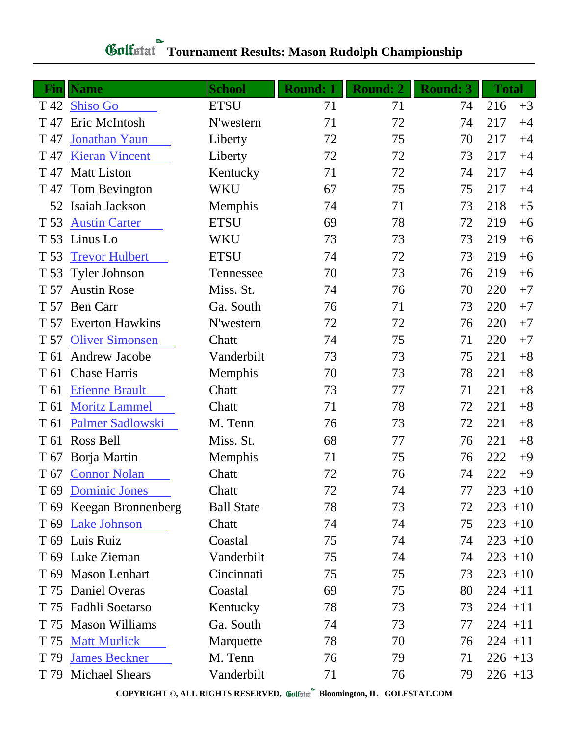| Fin             | <b>Name</b>             | <b>School</b>     | <b>Round: 1</b> | <b>Round: 2</b> | <b>Round: 3</b> | <b>Total</b> |
|-----------------|-------------------------|-------------------|-----------------|-----------------|-----------------|--------------|
| T 42            | <b>Shiso Go</b>         | <b>ETSU</b>       | 71              | 71              | 74              | 216<br>$+3$  |
| T 47            | Eric McIntosh           | N'western         | 71              | 72              | 74              | 217<br>$+4$  |
| T 47            | Jonathan Yaun           | Liberty           | 72              | 75              | 70              | 217<br>$+4$  |
| T 47            | <b>Kieran Vincent</b>   | Liberty           | 72              | 72              | 73              | 217<br>$+4$  |
| T 47            | <b>Matt Liston</b>      | Kentucky          | 71              | 72              | 74              | 217<br>$+4$  |
| T 47            | Tom Bevington           | <b>WKU</b>        | 67              | 75              | 75              | 217<br>$+4$  |
| 52              | Isaiah Jackson          | Memphis           | 74              | 71              | 73              | 218<br>$+5$  |
| T 53            | <b>Austin Carter</b>    | <b>ETSU</b>       | 69              | 78              | 72              | 219<br>$+6$  |
| T 53            | Linus Lo                | WKU               | 73              | 73              | 73              | 219<br>$+6$  |
| T 53            | <b>Trevor Hulbert</b>   | <b>ETSU</b>       | 74              | 72              | 73              | 219<br>$+6$  |
| T 53            | <b>Tyler Johnson</b>    | Tennessee         | 70              | 73              | 76              | 219<br>$+6$  |
| T 57            | <b>Austin Rose</b>      | Miss. St.         | 74              | 76              | 70              | 220<br>$+7$  |
| T 57            | <b>Ben Carr</b>         | Ga. South         | 76              | 71              | 73              | 220<br>$+7$  |
|                 | T 57 Everton Hawkins    | N'western         | 72              | 72              | 76              | 220<br>$+7$  |
| T 57            | <b>Oliver Simonsen</b>  | Chatt             | 74              | 75              | 71              | 220<br>$+7$  |
| T 61            | <b>Andrew Jacobe</b>    | Vanderbilt        | 73              | 73              | 75              | 221<br>$+8$  |
| T 61            | <b>Chase Harris</b>     | Memphis           | 70              | 73              | 78              | 221<br>$+8$  |
| T 61            | <b>Etienne Brault</b>   | Chatt             | 73              | 77              | 71              | 221<br>$+8$  |
| T 61            | <b>Moritz Lammel</b>    | Chatt             | 71              | 78              | 72              | 221<br>$+8$  |
| T 61            | Palmer Sadlowski        | M. Tenn           | 76              | 73              | 72              | 221<br>$+8$  |
| T 61            | Ross Bell               | Miss. St.         | 68              | 77              | 76              | 221<br>$+8$  |
|                 | T 67 Borja Martin       | Memphis           | 71              | 75              | 76              | 222<br>$+9$  |
| T 67            | <b>Connor Nolan</b>     | Chatt             | 72              | 76              | 74              | 222<br>$+9$  |
| T <sub>69</sub> | <b>Dominic Jones</b>    | Chatt             | 72              | 74              | 77              | $223 + 10$   |
|                 | T 69 Keegan Bronnenberg | <b>Ball State</b> | 78              | 73              | 72              | $223 + 10$   |
|                 | T 69 Lake Johnson       | Chatt             | 74              | 74              | 75              | $223 + 10$   |
|                 | T 69 Luis Ruiz          | Coastal           | 75              | 74              | 74              | $223 + 10$   |
|                 | T 69 Luke Zieman        | Vanderbilt        | 75              | 74              | 74              | $223 + 10$   |
|                 | T 69 Mason Lenhart      | Cincinnati        | 75              | 75              | 73              | $223 + 10$   |
|                 | T 75 Daniel Overas      | Coastal           | 69              | 75              | 80              | $224 + 11$   |
|                 | T 75 Fadhli Soetarso    | Kentucky          | 78              | 73              | 73              | $224 + 11$   |
| T 75            | <b>Mason Williams</b>   | Ga. South         | 74              | 73              | 77              | $224 + 11$   |
| T 75            | <b>Matt Murlick</b>     | Marquette         | 78              | 70              | 76              | $224 + 11$   |
| T 79            | <b>James Beckner</b>    | M. Tenn           | 76              | 79              | 71              | $226 + 13$   |
|                 | T 79 Michael Shears     | Vanderbilt        | 71              | 76              | 79              | $226 + 13$   |

## **Gulfatat Tournament Results: Mason Rudolph Championship**